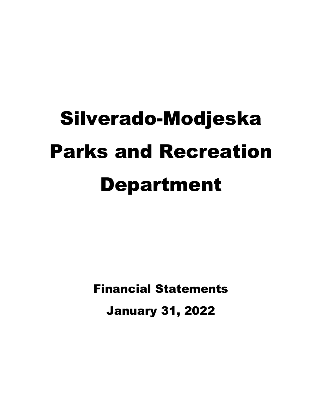# Silverado-Modjeska Parks and Recreation Department

Financial Statements January 31, 2022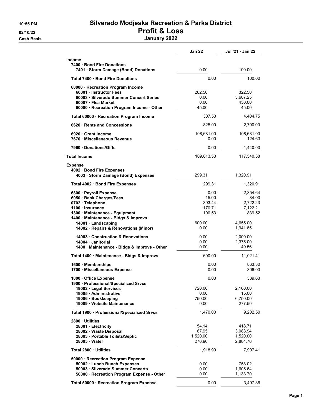#### 10:55 PM Silverado Modjeska Recreation & Parks District 02/10/22 **Profit & Loss**

Cash Basis January 2022

|                                                                                                                                                                         | <b>Jan 22</b>                               | Jul '21 - Jan 22                                    |
|-------------------------------------------------------------------------------------------------------------------------------------------------------------------------|---------------------------------------------|-----------------------------------------------------|
| <b>Income</b>                                                                                                                                                           |                                             |                                                     |
| 7400 · Bond Fire Donations<br>7401 · Storm Damage (Bond) Donations                                                                                                      | 0.00                                        | 100.00                                              |
| Total 7400 · Bond Fire Donations                                                                                                                                        | 0.00                                        | 100.00                                              |
| 60000 · Recreation Program Income<br>60001 Instructor Fees<br>60003 Silverado Summer Concert Series<br>60007 · Flea Market<br>60000 · Recreation Program Income - Other | 262.50<br>0.00<br>0.00<br>45.00             | 322.50<br>3,607.25<br>430.00<br>45.00               |
| Total 60000 · Recreation Program Income                                                                                                                                 | 307.50                                      | 4,404.75                                            |
| 6620 Rents and Concessions                                                                                                                                              | 825.00                                      | 2,790.00                                            |
| 6920 Grant Income<br>7670 Miscellaneous Revenue                                                                                                                         | 108,681.00<br>0.00                          | 108,681.00<br>124.63                                |
| 7960 Donations/Gifts                                                                                                                                                    | 0.00                                        | 1,440.00                                            |
| <b>Total Income</b>                                                                                                                                                     | 109,813.50                                  | 117,540.38                                          |
| <b>Expense</b><br>4002 · Bond Fire Expenses<br>4003 · Storm Damage (Bond) Expenses                                                                                      | 299.31                                      | 1,320.91                                            |
| Total 4002 Bond Fire Expenses                                                                                                                                           | 299.31                                      | 1,320.91                                            |
| 6800 · Payroll Expense<br>6050 · Bank Charges/Fees<br>0702 · Telephone<br>1100 · Insurance<br>1300 · Maintenance - Equipment<br>1400 · Maintenance - Bldgs & Improvs    | 0.00<br>15.00<br>393.44<br>170.71<br>100.53 | 2,354.64<br>84.00<br>2,722.23<br>7,122.21<br>839.52 |
| 14001 · Landscaping<br>14002 · Repairs & Renovations (Minor)                                                                                                            | 600.00<br>0.00                              | 4,655.00<br>1,941.85                                |
| 14003 · Construction & Renovations<br>14004 Janitorial<br>1400 Maintenance - Bldgs & Improvs - Other                                                                    | 0.00<br>0.00<br>0.00                        | 2,000.00<br>2,375.00<br>49.56                       |
| Total 1400 · Maintenance - Bldgs & Improvs                                                                                                                              | 600.00                                      | 11,021.41                                           |
| 1600 Memberships<br>1700 · Miscellaneous Expense                                                                                                                        | 0.00<br>0.00                                | 863.30<br>306.03                                    |
| 1800 Office Expense<br>1900 · Professional/Specialized Srvcs<br>19002 · Legal Services<br>19005 · Administrative<br>19006 · Bookkeeping<br>19009 · Website Maintenance  | 0.00<br>720.00<br>0.00<br>750.00<br>0.00    | 339.63<br>2,160.00<br>15.00<br>6,750.00<br>277.50   |
| Total 1900 · Professional/Specialized Srvcs                                                                                                                             | 1,470.00                                    | 9,202.50                                            |
| 2800 · Utilities<br>28001 · Electricity<br>28002 · Waste Disposal<br>28003 · Portable Toilets/Septic<br>28005 Water                                                     | 54.14<br>67.95<br>1,520.00<br>276.90        | 418.71<br>3,083.94<br>1,520.00<br>2,884.76          |
| Total 2800 · Utilities                                                                                                                                                  | 1,918.99                                    | 7,907.41                                            |
| 50000 · Recreation Program Expense<br>50002 · Lunch Bunch Expenses<br>50003 · Silverado Summer Concerts<br>50000 · Recreation Program Expense - Other                   | 0.00<br>0.00<br>0.00                        | 758.02<br>1,605.64<br>1,133.70                      |
| Total 50000 · Recreation Program Expense                                                                                                                                | 0.00                                        | 3,497.36                                            |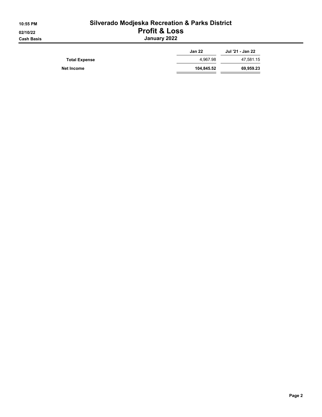| 10:55 PM   |
|------------|
| 02/10/22   |
| Cash Basis |

#### Silverado Modjeska Recreation & Parks District Profit & Loss January 2022

|                      | <b>Jan 22</b> | Jul '21 - Jan 22 |
|----------------------|---------------|------------------|
| <b>Total Expense</b> | 4.967.98      | 47,581.15        |
| Net Income           | 104,845.52    | 69,959.23        |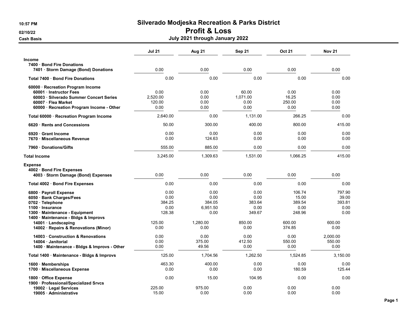#### 02/10/22 **Profit & Loss**

Cash Basis July 2021 through January 2022

|                                                                                                                                                                                                                                    | <b>Jul 21</b>                                              | Aug 21                                                         | Sep 21                                                     | Oct 21                                                          | <b>Nov 21</b>                                               |
|------------------------------------------------------------------------------------------------------------------------------------------------------------------------------------------------------------------------------------|------------------------------------------------------------|----------------------------------------------------------------|------------------------------------------------------------|-----------------------------------------------------------------|-------------------------------------------------------------|
| <b>Income</b>                                                                                                                                                                                                                      |                                                            |                                                                |                                                            |                                                                 |                                                             |
| 7400 Bond Fire Donations                                                                                                                                                                                                           |                                                            |                                                                |                                                            |                                                                 |                                                             |
| 7401 · Storm Damage (Bond) Donations                                                                                                                                                                                               | 0.00                                                       | 0.00                                                           | 0.00                                                       | 0.00                                                            | 0.00                                                        |
| Total 7400 · Bond Fire Donations                                                                                                                                                                                                   | 0.00                                                       | 0.00                                                           | 0.00                                                       | 0.00                                                            | 0.00                                                        |
| 60000 · Recreation Program Income<br>60001 Instructor Fees<br>60003 · Silverado Summer Concert Series<br>60007 · Flea Market<br>60000 · Recreation Program Income - Other                                                          | 0.00<br>2.520.00<br>120.00<br>0.00                         | 0.00<br>0.00<br>0.00<br>0.00                                   | 60.00<br>1.071.00<br>0.00<br>0.00                          | 0.00<br>16.25<br>250.00<br>0.00                                 | 0.00<br>0.00<br>0.00<br>0.00                                |
| Total 60000 · Recreation Program Income                                                                                                                                                                                            | 2,640.00                                                   | 0.00                                                           | 1.131.00                                                   | 266.25                                                          | 0.00                                                        |
| 6620 Rents and Concessions                                                                                                                                                                                                         | 50.00                                                      | 300.00                                                         | 400.00                                                     | 800.00                                                          | 415.00                                                      |
| 6920 Grant Income<br>7670 Miscellaneous Revenue                                                                                                                                                                                    | 0.00<br>0.00                                               | 0.00<br>124.63                                                 | 0.00<br>0.00                                               | 0.00<br>0.00                                                    | 0.00<br>0.00                                                |
| 7960 Donations/Gifts                                                                                                                                                                                                               | 555.00                                                     | 885.00                                                         | 0.00                                                       | 0.00                                                            | 0.00                                                        |
| <b>Total Income</b>                                                                                                                                                                                                                | 3,245.00                                                   | 1,309.63                                                       | 1,531.00                                                   | 1,066.25                                                        | 415.00                                                      |
| <b>Expense</b><br>4002 · Bond Fire Expenses<br>4003 · Storm Damage (Bond) Expenses                                                                                                                                                 | 0.00                                                       | 0.00                                                           | 0.00                                                       | 0.00                                                            | 0.00                                                        |
| Total 4002 · Bond Fire Expenses                                                                                                                                                                                                    | 0.00                                                       | 0.00                                                           | 0.00                                                       | 0.00                                                            | 0.00                                                        |
| 6800 · Payroll Expense<br>6050 · Bank Charges/Fees<br>0702 · Telephone<br>1100 · Insurance<br>1300 Maintenance - Equipment<br>1400 · Maintenance - Bldgs & Improvs<br>14001 · Landscaping<br>14002 · Repairs & Renovations (Minor) | 0.00<br>0.00<br>384.25<br>0.00<br>128.38<br>125.00<br>0.00 | 0.00<br>0.00<br>384.05<br>6,951.50<br>0.00<br>1.280.00<br>0.00 | 0.00<br>0.00<br>383.64<br>0.00<br>349.67<br>850.00<br>0.00 | 106.74<br>15.00<br>389.54<br>0.00<br>248.96<br>600.00<br>374.85 | 797.90<br>39.00<br>393.81<br>0.00<br>0.00<br>600.00<br>0.00 |
| 14003 Construction & Renovations<br>14004 · Janitorial<br>1400 · Maintenance - Bldgs & Improvs - Other                                                                                                                             | 0.00<br>0.00<br>0.00                                       | 0.00<br>375.00<br>49.56                                        | 0.00<br>412.50<br>0.00                                     | 0.00<br>550.00<br>0.00                                          | 2.000.00<br>550.00<br>0.00                                  |
| Total 1400 · Maintenance - Bldgs & Improvs                                                                                                                                                                                         | 125.00                                                     | 1.704.56                                                       | 1,262.50                                                   | 1.524.85                                                        | 3,150.00                                                    |
| 1600 Memberships<br>1700 · Miscellaneous Expense                                                                                                                                                                                   | 463.30<br>0.00                                             | 400.00<br>0.00                                                 | 0.00<br>0.00                                               | 0.00<br>180.59                                                  | 0.00<br>125.44                                              |
| 1800 Office Expense<br>1900 · Professional/Specialized Srvcs<br>19002 · Legal Services                                                                                                                                             | 0.00<br>225.00                                             | 15.00<br>975.00                                                | 104.95<br>0.00                                             | 0.00<br>0.00                                                    | 0.00<br>0.00                                                |
| 19005 · Administrative                                                                                                                                                                                                             | 15.00                                                      | 0.00                                                           | 0.00                                                       | 0.00                                                            | 0.00                                                        |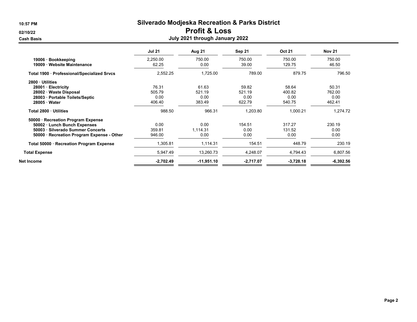#### 02/10/22 **Profit & Loss**

| <b>Cash Basis</b>                                                                                                                                     |                                   | July 2021 through January 2022    |                                   |                                   |                                   |
|-------------------------------------------------------------------------------------------------------------------------------------------------------|-----------------------------------|-----------------------------------|-----------------------------------|-----------------------------------|-----------------------------------|
|                                                                                                                                                       | <b>Jul 21</b>                     | Aug 21                            | Sep 21                            | <b>Oct 21</b>                     | <b>Nov 21</b>                     |
| 19006 · Bookkeeping<br>19009 · Website Maintenance                                                                                                    | 2,250.00<br>62.25                 | 750.00<br>0.00                    | 750.00<br>39.00                   | 750.00<br>129.75                  | 750.00<br>46.50                   |
| Total 1900 · Professional/Specialized Srvcs                                                                                                           | 2,552.25                          | 1,725.00                          | 789.00                            | 879.75                            | 796.50                            |
| 2800 Utilities<br>28001 · Electricity<br>28002 · Waste Disposal<br>28003 · Portable Toilets/Septic<br>28005 · Water                                   | 76.31<br>505.79<br>0.00<br>406.40 | 61.63<br>521.19<br>0.00<br>383.49 | 59.82<br>521.19<br>0.00<br>622.79 | 58.64<br>400.82<br>0.00<br>540.75 | 50.31<br>762.00<br>0.00<br>462.41 |
| Total 2800 · Utilities                                                                                                                                | 988.50                            | 966.31                            | 1,203.80                          | 1,000.21                          | 1,274.72                          |
| 50000 · Recreation Program Expense<br>50002 · Lunch Bunch Expenses<br>50003 · Silverado Summer Concerts<br>50000 · Recreation Program Expense - Other | 0.00<br>359.81<br>946.00          | 0.00<br>1,114.31<br>0.00          | 154.51<br>0.00<br>0.00            | 317.27<br>131.52<br>0.00          | 230.19<br>0.00<br>0.00            |
| Total 50000 · Recreation Program Expense                                                                                                              | 1,305.81                          | 1,114.31                          | 154.51                            | 448.79                            | 230.19                            |
| <b>Total Expense</b>                                                                                                                                  | 5,947.49                          | 13,260.73                         | 4,248.07                          | 4,794.43                          | 6,807.56                          |
| <b>Net Income</b>                                                                                                                                     | $-2,702.49$                       | $-11,951.10$                      | $-2,717.07$                       | $-3,728.18$                       | $-6,392.56$                       |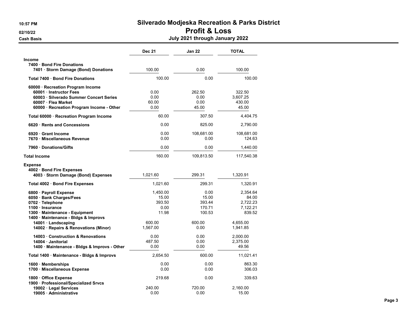#### 02/10/22 **Profit & Loss**

| <b>Cash Basis</b>                                                                                                                                                         | July 2021 through January 2022               |                                             |                                                     |  |  |
|---------------------------------------------------------------------------------------------------------------------------------------------------------------------------|----------------------------------------------|---------------------------------------------|-----------------------------------------------------|--|--|
|                                                                                                                                                                           | <b>Dec 21</b>                                | Jan 22                                      | <b>TOTAL</b>                                        |  |  |
| <b>Income</b><br>7400 · Bond Fire Donations<br>7401 · Storm Damage (Bond) Donations                                                                                       | 100.00                                       | 0.00                                        | 100.00                                              |  |  |
| Total 7400 · Bond Fire Donations                                                                                                                                          | 100.00                                       | 0.00                                        | 100.00                                              |  |  |
| 60000 · Recreation Program Income<br>60001 Instructor Fees<br>60003 · Silverado Summer Concert Series<br>60007 · Flea Market<br>60000 · Recreation Program Income - Other | 0.00<br>0.00<br>60.00<br>0.00                | 262.50<br>0.00<br>0.00<br>45.00             | 322.50<br>3,607.25<br>430.00<br>45.00               |  |  |
| Total 60000 · Recreation Program Income                                                                                                                                   | 60.00                                        | 307.50                                      | 4,404.75                                            |  |  |
| 6620 Rents and Concessions                                                                                                                                                | 0.00                                         | 825.00                                      | 2,790.00                                            |  |  |
| 6920 Grant Income<br>7670 · Miscellaneous Revenue                                                                                                                         | 0.00<br>0.00                                 | 108,681.00<br>0.00                          | 108,681.00<br>124.63                                |  |  |
| 7960 Donations/Gifts                                                                                                                                                      | 0.00                                         | 0.00                                        | 1,440.00                                            |  |  |
| <b>Total Income</b>                                                                                                                                                       | 160.00                                       | 109,813.50                                  | 117,540.38                                          |  |  |
| <b>Expense</b><br>4002 · Bond Fire Expenses<br>4003 · Storm Damage (Bond) Expenses                                                                                        | 1,021.60                                     | 299.31                                      | 1,320.91                                            |  |  |
| Total 4002 · Bond Fire Expenses                                                                                                                                           | 1,021.60                                     | 299.31                                      | 1,320.91                                            |  |  |
| 6800 · Payroll Expense<br>6050 · Bank Charges/Fees<br>0702 · Telephone<br>1100 · Insurance<br>1300 Maintenance - Equipment<br>1400 · Maintenance - Bldgs & Improvs        | 1.450.00<br>15.00<br>393.50<br>0.00<br>11.98 | 0.00<br>15.00<br>393.44<br>170.71<br>100.53 | 2.354.64<br>84.00<br>2.722.23<br>7,122.21<br>839.52 |  |  |
| 14001 · Landscaping<br>14002 · Repairs & Renovations (Minor)                                                                                                              | 600.00<br>1,567.00                           | 600.00<br>0.00                              | 4,655.00<br>1,941.85                                |  |  |
| 14003 · Construction & Renovations<br>14004 · Janitorial<br>1400 · Maintenance - Bldgs & Improvs - Other                                                                  | 0.00<br>487.50<br>0.00                       | 0.00<br>0.00<br>0.00                        | 2,000.00<br>2,375.00<br>49.56                       |  |  |
| Total 1400 · Maintenance - Bldgs & Improvs                                                                                                                                | 2,654.50                                     | 600.00                                      | 11,021.41                                           |  |  |
| 1600 Memberships<br>1700 · Miscellaneous Expense                                                                                                                          | 0.00<br>0.00                                 | 0.00<br>0.00                                | 863.30<br>306.03                                    |  |  |
| 1800 Office Expense<br>1900 · Professional/Specialized Srvcs                                                                                                              | 219.68                                       | 0.00                                        | 339.63                                              |  |  |
| 19002 · Legal Services<br>19005 · Administrative                                                                                                                          | 240.00<br>0.00                               | 720.00<br>0.00                              | 2,160.00<br>15.00                                   |  |  |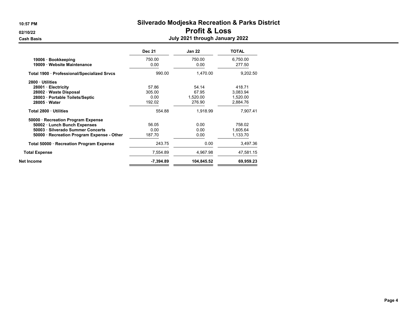#### 02/10/22 **Profit & Loss** Cash Basis July 2021 through January 2022

|                                             | <b>Dec 21</b> | <b>Jan 22</b> | <b>TOTAL</b> |
|---------------------------------------------|---------------|---------------|--------------|
| 19006 · Bookkeeping                         | 750.00        | 750.00        | 6,750.00     |
| 19009 · Website Maintenance                 | 0.00          | 0.00          | 277.50       |
| Total 1900 · Professional/Specialized Srvcs | 990.00        | 1.470.00      | 9.202.50     |
| 2800 Utilities                              |               |               |              |
| 28001 · Electricity                         | 57.86         | 54.14         | 418.71       |
| 28002 · Waste Disposal                      | 305.00        | 67.95         | 3.083.94     |
| 28003 · Portable Toilets/Septic             | 0.00          | 1,520.00      | 1,520.00     |
| 28005 · Water                               | 192.02        | 276.90        | 2,884.76     |
| Total 2800 Utilities                        | 554.88        | 1,918.99      | 7,907.41     |
| 50000 · Recreation Program Expense          |               |               |              |
| 50002 · Lunch Bunch Expenses                | 56.05         | 0.00          | 758.02       |
| 50003 · Silverado Summer Concerts           | 0.00          | 0.00          | 1,605.64     |
| 50000 · Recreation Program Expense - Other  | 187.70        | 0.00          | 1,133.70     |
| Total 50000 · Recreation Program Expense    | 243.75        | 0.00          | 3,497.36     |
| <b>Total Expense</b>                        | 7,554.89      | 4,967.98      | 47,581.15    |
| Net Income                                  | $-7,394.89$   | 104,845.52    | 69,959.23    |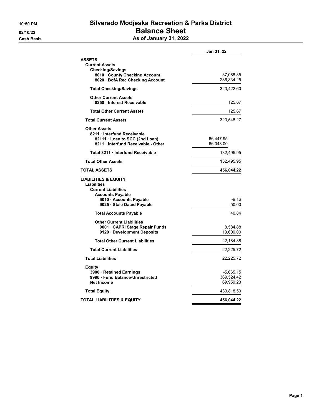### 10:50 PM Silverado Modjeska Recreation & Parks District 02/10/22 **Balance Sheet**

Cash Basis **As of January 31, 2022** 

|                                                                                                                                                                       | Jan 31, 22                           |
|-----------------------------------------------------------------------------------------------------------------------------------------------------------------------|--------------------------------------|
| <b>ASSETS</b><br><b>Current Assets</b>                                                                                                                                |                                      |
| <b>Checking/Savings</b><br>8010 County Checking Account<br>8020 · BofA Rec Checking Account                                                                           | 37,088.35<br>286,334.25              |
| <b>Total Checking/Savings</b>                                                                                                                                         | 323,422.60                           |
| <b>Other Current Assets</b><br>8250 · Interest Receivable                                                                                                             | 125.67                               |
| <b>Total Other Current Assets</b>                                                                                                                                     | 125.67                               |
| <b>Total Current Assets</b>                                                                                                                                           | 323,548.27                           |
| <b>Other Assets</b><br>8211 Interfund Receivable<br>82111 · Loan to SCC (2nd Loan)<br>8211 Interfund Receivable - Other                                               | 66,447.95<br>66,048.00               |
| Total 8211 · Interfund Receivable                                                                                                                                     | 132,495.95                           |
| <b>Total Other Assets</b>                                                                                                                                             | 132,495.95                           |
| <b>TOTAL ASSETS</b>                                                                                                                                                   | 456,044.22                           |
| <b>LIABILITIES &amp; EQUITY</b><br><b>Liabilities</b><br><b>Current Liabilities</b><br><b>Accounts Payable</b><br>9010 Accounts Payable<br>9025 · Stale Dated Payable | $-9.16$<br>50.00                     |
| <b>Total Accounts Payable</b>                                                                                                                                         | 40.84                                |
| <b>Other Current Liabilities</b><br>9001 · CAPRI Stage Repair Funds<br>9120 Development Deposits                                                                      | 8,584.88<br>13,600.00                |
| <b>Total Other Current Liabilities</b>                                                                                                                                | 22,184.88                            |
| <b>Total Current Liabilities</b>                                                                                                                                      | 22,225.72                            |
| <b>Total Liabilities</b>                                                                                                                                              | 22,225.72                            |
| Equity<br>3900 · Retained Earnings<br>9990 Fund Balance-Unrestricted<br>Net Income                                                                                    | -5,665.15<br>369,524.42<br>69,959.23 |
| <b>Total Equity</b>                                                                                                                                                   | 433,818.50                           |
| TOTAL LIABILITIES & EQUITY                                                                                                                                            | 456,044.22                           |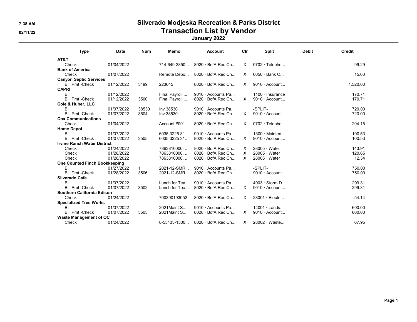#### 7:38 AM Silverado Modjeska Recreation & Parks District 02/11/22 **Transaction List by Vendor Transaction List by Vendor**

#### January 2022

| <b>Type</b>                          | <b>Date</b> | <b>Num</b> | Memo            | <b>Account</b>           | Cir      | <b>Split</b>           | <b>Debit</b> | Credit   |
|--------------------------------------|-------------|------------|-----------------|--------------------------|----------|------------------------|--------------|----------|
| AT&T                                 |             |            |                 |                          |          |                        |              |          |
| Check                                | 01/04/2022  |            | 714-649-2850    | $8020 \cdot$ BofA Rec Ch | X.       | $0702 \cdot$ Telepho   |              | 99.29    |
| <b>Bank of America</b>               |             |            |                 |                          |          |                        |              |          |
| Check                                | 01/07/2022  |            | Remote Depo     | $8020 \cdot$ BofA Rec Ch | X        | $6050 \cdot$ Bank C    |              | 15.00    |
| <b>Canyon Septic Services</b>        |             |            |                 |                          |          |                        |              |          |
| <b>Bill Pmt -Check</b>               | 01/12/2022  | 3499       | 223645          | $8020 \cdot$ BofA Rec Ch | $\times$ | $9010 \cdot$ Account   |              | 1,520.00 |
| <b>CAPRI</b>                         |             |            |                 |                          |          |                        |              |          |
| Bill                                 | 01/12/2022  |            | Final Payroll   | 9010 · Accounts Pa       |          | $1100 \cdot$ Insurance |              | 170.71   |
| <b>Bill Pmt -Check</b>               | 01/12/2022  | 3500       | Final Payroll   | 8020 · BofA Rec Ch       | X        | $9010 \cdot$ Account   |              | 170.71   |
| Cole & Huber, LLC                    |             |            |                 |                          |          |                        |              |          |
| Bill                                 | 01/07/2022  | 38530      | Inv 38530       | $9010 \cdot$ Accounts Pa |          | -SPLIT-                |              | 720.00   |
| <b>Bill Pmt -Check</b>               | 01/07/2022  | 3504       | Inv 38530       | $8020 \cdot$ BofA Rec Ch | X        | 9010 $\cdot$ Account   |              | 720.00   |
| <b>Cox Communications</b>            |             |            |                 |                          |          |                        |              |          |
| Check                                | 01/04/2022  |            | Account $\#001$ | $8020 \cdot$ BofA Rec Ch | $\times$ | $0702 \cdot$ Telepho   |              | 294.15   |
| <b>Home Depot</b>                    |             |            |                 |                          |          |                        |              |          |
| Bill                                 | 01/07/2022  |            | 6035 3225 31    | 9010 $\cdot$ Accounts Pa |          | $1300 \cdot$ Mainten   |              | 100.53   |
| <b>Bill Pmt -Check</b>               | 01/07/2022  | 3505       | 6035 3225 31    | $8020 \cdot$ BofA Rec Ch | $\times$ | $9010 \cdot$ Account   |              | 100.53   |
| <b>Irvine Ranch Water District</b>   |             |            |                 |                          |          |                        |              |          |
| Check                                | 01/24/2022  |            | 7863810000,     | $8020 \cdot$ BofA Rec Ch | X        | $28005 \cdot Water$    |              | 143.91   |
| Check                                | 01/28/2022  |            | 7863810000      | 8020 · BofA Rec Ch       | X        | $28005 \cdot Water$    |              | 120.65   |
| Check                                | 01/28/2022  |            | 7863810000,     | $8020 \cdot$ BofA Rec Ch | $\times$ | $28005 \cdot Water$    |              | 12.34    |
| <b>One Counted Finch Bookkeeping</b> |             |            |                 |                          |          |                        |              |          |
| Bill                                 | 01/27/2022  |            | 2021-12-SMR     | $9010 \cdot$ Accounts Pa |          | -SPLIT-                |              | 750.00   |
| <b>Bill Pmt -Check</b>               | 01/28/2022  | 3506       | 2021-12-SMR     | 8020 · BofA Rec Ch       |          | 9010 · Account         |              | 750.00   |
| <b>Silverado Cafe</b>                |             |            |                 |                          |          |                        |              |          |
| Bill                                 | 01/07/2022  |            | Lunch for Tea   | $9010 \cdot$ Accounts Pa |          | $4003 \cdot$ Storm D   |              | 299.31   |
| <b>Bill Pmt -Check</b>               | 01/07/2022  | 3502       | Lunch for Tea   | 8020 · BofA Rec Ch       | X.       | $9010 \cdot$ Account   |              | 299.31   |
| <b>Southern California Edison</b>    |             |            |                 |                          |          |                        |              |          |
| Check                                | 01/24/2022  |            | 700390193052    | $8020 \cdot$ BofA Rec Ch | $\times$ | $28001 \cdot$ Electri  |              | 54.14    |
| <b>Specialized Tree Works</b>        |             |            |                 |                          |          |                        |              |          |
| Bill                                 | 01/07/2022  |            | 2021 Maint S    | $9010 \cdot$ Accounts Pa |          | $14001 \cdot$ Lands    |              | 600.00   |
| <b>Bill Pmt -Check</b>               | 01/07/2022  | 3503       | 2021 Maint S    | 8020 · BofA Rec Ch       | $\times$ | $9010 \cdot$ Account   |              | 600.00   |
| <b>Waste Management of OC</b>        |             |            |                 |                          |          |                        |              |          |
| Check                                | 01/24/2022  |            | 8-55433-1500    | $8020 \cdot$ BofA Rec Ch | $\times$ | 28002 · Waste          |              | 67.95    |